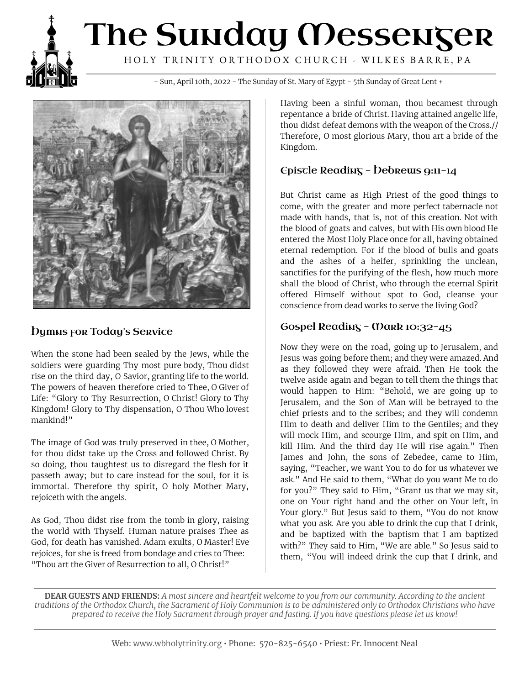# The Sunday Messenger HOLY TRINITY ORTHODOX CHURCH - WILKES BARRE, PA

+ Sun, April 10th, 2022 - The Sunday of St. Mary of Egypt - 5th Sunday of Great Lent +



### **Dymus for Today's Service**

When the stone had been sealed by the Jews, while the soldiers were guarding Thy most pure body, Thou didst rise on the third day, O Savior, granting life to the world. The powers of heaven therefore cried to Thee, O Giver of Life: "Glory to Thy Resurrection, O Christ! Glory to Thy Kingdom! Glory to Thy dispensation, O Thou Who lovest mankind!"

The image of God was truly preserved in thee, O Mother, for thou didst take up the Cross and followed Christ. By so doing, thou taughtest us to disregard the flesh for it passeth away; but to care instead for the soul, for it is immortal. Therefore thy spirit, O holy Mother Mary, rejoiceth with the angels.

As God, Thou didst rise from the tomb in glory, raising the world with Thyself. Human nature praises Thee as God, for death has vanished. Adam exults, O Master! Eve rejoices, for she is freed from bondage and cries to Thee: "Thou art the Giver of Resurrection to all, O Christ!"

Having been a sinful woman, thou becamest through repentance a bride of Christ. Having attained angelic life, thou didst defeat demons with the weapon of the Cross.// Therefore, O most glorious Mary, thou art a bride of the Kingdom.

### $E$ piscle Reading - Debrews 9:11-14

But Christ came as High Priest of the good things to come, with the greater and more perfect tabernacle not made with hands, that is, not of this creation. Not with the blood of goats and calves, but with His own blood He entered the Most Holy Place once for all, having obtained eternal redemption. For if the blood of bulls and goats and the ashes of a heifer, sprinkling the unclean, sanctifies for the purifying of the flesh, how much more shall the blood of Christ, who through the eternal Spirit offered Himself without spot to God, cleanse your conscience from dead works to serve the living God?

#### Gospel Reading - Mark  $10:32-45$

Now they were on the road, going up to Jerusalem, and Jesus was going before them; and they were amazed. And as they followed they were afraid. Then He took the twelve aside again and began to tell them the things that would happen to Him: "Behold, we are going up to Jerusalem, and the Son of Man will be betrayed to the chief priests and to the scribes; and they will condemn Him to death and deliver Him to the Gentiles; and they will mock Him, and scourge Him, and spit on Him, and kill Him. And the third day He will rise again." Then James and John, the sons of Zebedee, came to Him, saying, "Teacher, we want You to do for us whatever we ask." And He said to them, "What do you want Me to do for you?" They said to Him, "Grant us that we may sit, one on Your right hand and the other on Your left, in Your glory." But Jesus said to them, "You do not know what you ask. Are you able to drink the cup that I drink, and be baptized with the baptism that I am baptized with?" They said to Him, "We are able." So Jesus said to them, "You will indeed drink the cup that I drink, and

DEAR GUESTS AND FRIENDS: A most sincere and heartfelt welcome to you from our community. According to the ancient traditions of the Orthodox Church, the Sacrament of Holy Communion is to be administered only to Orthodox Christians who have prepared to receive the Holy Sacrament through prayer and fasting. If you have questions please let us know!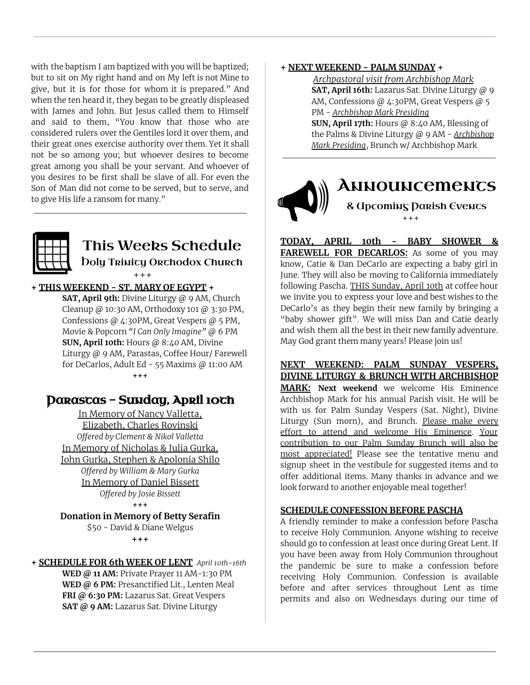with the baptism I am baptized with you will be baptized; but to sit on My right hand and on My left is not Mine to give, but it is for those for whom it is prepared." And when the ten heard it, they began to be greatly displeased with James and John. But Jesus called them to Himself and said to them, "You know that those who are considered rulers over the Gentiles lord it over them, and their great ones exercise authority over them. Yet it shall not be so among you; but whoever desires to become great among you shall be your servant. And whoever of you desires to be first shall be slave of all. For even the Son of Man did not come to be served, but to serve, and to give His life a ransom for many."



## This Weeks Schedule Doly Trinity Orthodox Church

 $+ + +$ 

#### **+ THIS WEEKEND - ST. MARY OF EGYPT +**

**SAT, April 9th:** Divine Liturgy @ 9 AM, Church Cleanup @ 10:30 AM, Orthodoxy 101 @ 3:30 PM, Confessions @ 4:30PM, Great Vespers @ 5 PM, Movie & Popcorn *"I Can Only Imagine"* @ 6 PM **SUN, April 10th:** Hours @ 8:40 AM, Divine Liturgy @ 9 AM, Parastas, Coffee Hour/ Farewell for DeCarlos, Adult Ed - 55 Maxims @ 11:00 AM **+++**

## Darascas - Sunday, April 10ch

In Memory of Nancy Valletta, Elizabeth, Charles Rovinski *Offered by Clement & Nikol Valletta* In Memory of Nicholas & Julia Gurka, John Gurka, Stephen & Apolonia Shilo *Offered by William & Mary Gurka* In Memory of Daniel Bissett *Offered by Josie Bissett*

#### **+++**

**Donation in Memory of Betty Serafin** \$50 - David & Diane Welgus

**+++**

**+ SCHEDULE FOR 6th WEEK OF LENT** *April 10th-16th* **WED @ 11 AM:** Private Prayer 11 AM-1:30 PM **WED @ 6 PM:** Presanctified Lit., Lenten Meal **FRI @ 6:30 PM:** Lazarus Sat. Great Vespers **SAT @ 9 AM:** Lazarus Sat. Divine Liturgy

#### **+ NEXT WEEKEND - PALM SUNDAY +**

*Archpastoral visit from Archbishop Mark* **SAT, April 16th:** Lazarus Sat. Divine Liturgy @ 9 AM, Confessions @ 4:30PM, Great Vespers @ 5 PM - *Archbishop Mark Presiding* **SUN, April 17th:** Hours @ 8:40 AM, Blessing of

the Palms & Divine Liturgy @ 9 AM - *Archbishop Mark Presiding*, Brunch w/ Archbishop Mark



**TODAY, APRIL 10th - BABY SHOWER & FAREWELL FOR DECARLOS:** As some of you may know, Catie & Dan DeCarlo are expecting a baby girl in June. They will also be moving to California immediately following Pascha. THIS Sunday, April 10th at coffee hour we invite you to express your love and best wishes to the DeCarlo's as they begin their new family by bringing a "baby shower gift". We will miss Dan and Catie dearly and wish them all the best in their new family adventure. May God grant them many years! Please join us!

**NEXT WEEKEND: PALM SUNDAY VESPERS, DIVINE LITURGY & BRUNCH WITH ARCHBISHOP MARK: Next weekend** we welcome His Eminence Archbishop Mark for his annual Parish visit. He will be with us for Palm Sunday Vespers (Sat. Night), Divine Liturgy (Sun morn), and Brunch. Please make every effort to attend and welcome His Eminence. Your contribution to our Palm Sunday Brunch will also be most appreciated! Please see the tentative menu and signup sheet in the vestibule for suggested items and to offer additional items. Many thanks in advance and we look forward to another enjoyable meal together!

#### **SCHEDULE CONFESSION BEFORE PASCHA**

A friendly reminder to make a confession before Pascha to receive Holy Communion. Anyone wishing to receive should go to confession at least once during Great Lent. If you have been away from Holy Communion throughout the pandemic be sure to make a confession before receiving Holy Communion. Confession is available before and after services throughout Lent as time permits and also on Wednesdays during our time of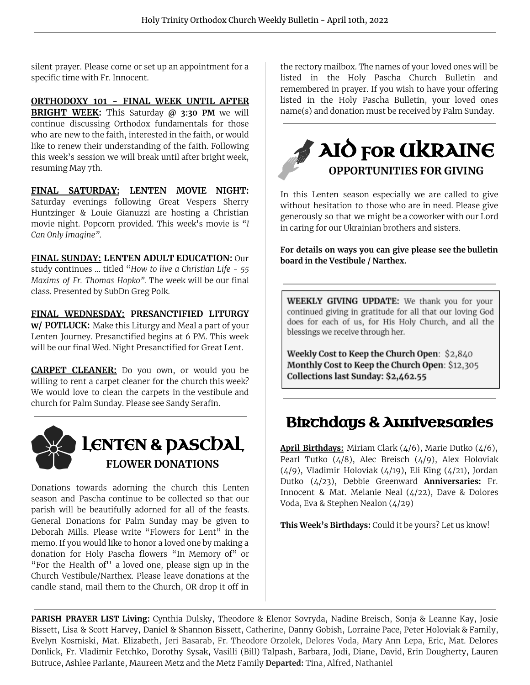silent prayer. Please come or set up an appointment for a specific time with Fr. Innocent.

**ORTHODOXY 101 - FINAL WEEK UNTIL AFTER BRIGHT WEEK:** This Saturday **@ 3:30 PM** we will continue discussing Orthodox fundamentals for those who are new to the faith, interested in the faith, or would like to renew their understanding of the faith. Following this week's session we will break until after bright week, resuming May 7th.

**FINAL SATURDAY: LENTEN MOVIE NIGHT:** Saturday evenings following Great Vespers Sherry Huntzinger & Louie Gianuzzi are hosting a Christian movie night. Popcorn provided. This week's movie is *"I Can Only Imagine"*.

**FINAL SUNDAY: LENTEN ADULT EDUCATION:** Our

study continues … titled "*How to live a Christian Life - 55 Maxims of Fr. Thomas Hopko".* The week will be our final class. Presented by SubDn Greg Polk.

**FINAL WEDNESDAY: PRESANCTIFIED LITURGY**

**w/ POTLUCK:** Make this Liturgy and Meal a part of your Lenten Journey. Presanctified begins at 6 PM. This week will be our final Wed. Night Presanctified for Great Lent.

**CARPET CLEANER:** Do you own, or would you be willing to rent a carpet cleaner for the church this week? We would love to clean the carpets in the vestibule and church for Palm Sunday. Please see Sandy Serafin.



Donations towards adorning the church this Lenten season and Pascha continue to be collected so that our parish will be beautifully adorned for all of the feasts. General Donations for Palm Sunday may be given to Deborah Mills. Please write "Flowers for Lent" in the memo. If you would like to honor a loved one by making a donation for Holy Pascha flowers "In Memory of" or "For the Health of'' a loved one, please sign up in the Church Vestibule/Narthex. Please leave donations at the candle stand, mail them to the Church, OR drop it off in

the rectory mailbox. The names of your loved ones will be listed in the Holy Pascha Church Bulletin and remembered in prayer. If you wish to have your offering listed in the Holy Pascha Bulletin, your loved ones name(s) and donation must be received by Palm Sunday.



In this Lenten season especially we are called to give without hesitation to those who are in need. Please give generously so that we might be a coworker with our Lord in caring for our Ukrainian brothers and sisters.

**For details on ways you can give please see the bulletin board in the Vestibule / Narthex.**

WEEKLY GIVING UPDATE: We thank you for your continued giving in gratitude for all that our loving God does for each of us, for His Holy Church, and all the blessings we receive through her.

Weekly Cost to Keep the Church Open: \$2,840 Monthly Cost to Keep the Church Open: \$12,305 Collections last Sunday: \$2,462.55

## **Birchdays & Anniversaries**

**April Birthdays:** Miriam Clark (4/6), Marie Dutko (4/6), Pearl Tutko (4/8), Alec Breisch (4/9), Alex Holoviak (4/9), Vladimir Holoviak (4/19), Eli King (4/21), Jordan Dutko (4/23), Debbie Greenward **Anniversaries:** Fr. Innocent & Mat. Melanie Neal (4/22), Dave & Dolores Voda, Eva & Stephen Nealon (4/29)

**This Week's Birthdays:** Could it be yours? Let us know!

**PARISH PRAYER LIST Living:** Cynthia Dulsky, Theodore & Elenor Sovryda, Nadine Breisch, Sonja & Leanne Kay, Josie Bissett, Lisa & Scott Harvey, Daniel & Shannon Bissett, Catherine, Danny Gobish, Lorraine Pace, Peter Holoviak & Family, Evelyn Kosmiski, Mat. Elizabeth, Jeri Basarab, Fr. Theodore Orzolek, Delores Voda, Mary Ann Lepa, Eric, Mat. Delores Donlick, Fr. Vladimir Fetchko, Dorothy Sysak, Vasilli (Bill) Talpash, Barbara, Jodi, Diane, David, Erin Dougherty, Lauren Butruce, Ashlee Parlante, Maureen Metz and the Metz Family **Departed:** Tina, Alfred, Nathaniel